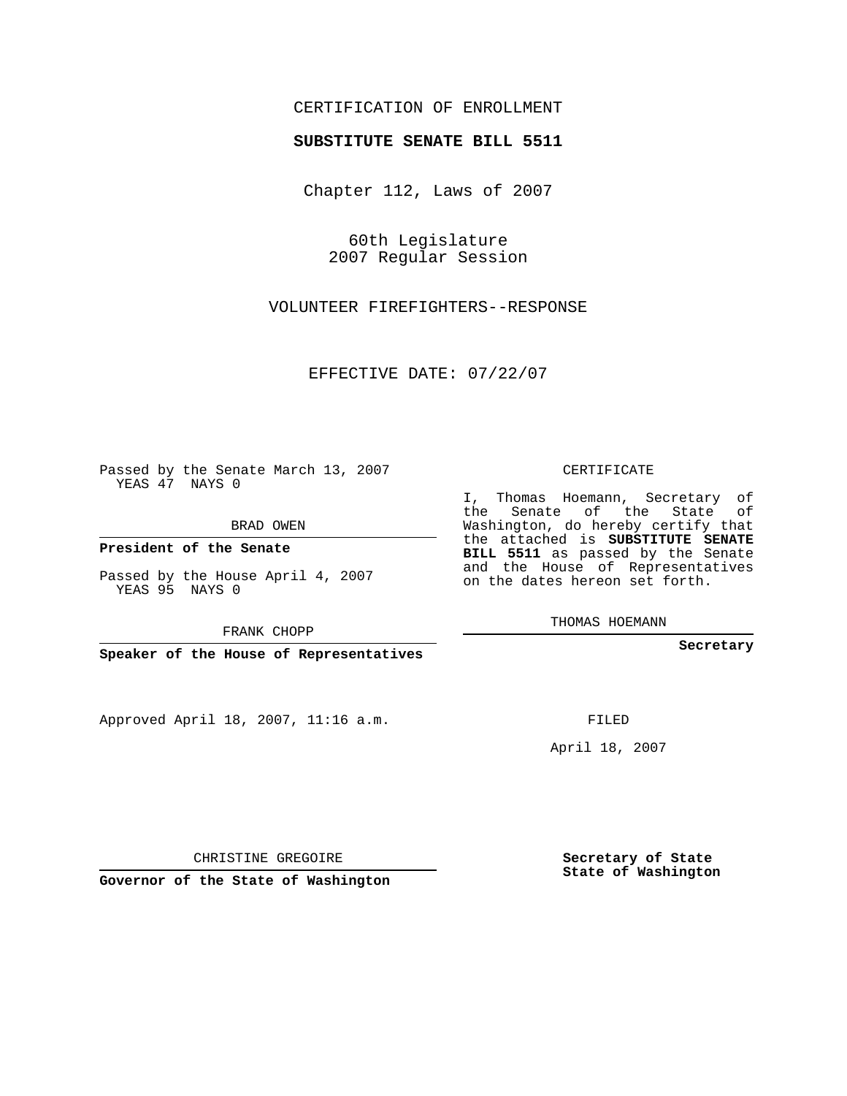## CERTIFICATION OF ENROLLMENT

## **SUBSTITUTE SENATE BILL 5511**

Chapter 112, Laws of 2007

60th Legislature 2007 Regular Session

VOLUNTEER FIREFIGHTERS--RESPONSE

EFFECTIVE DATE: 07/22/07

Passed by the Senate March 13, 2007 YEAS 47 NAYS 0

BRAD OWEN

**President of the Senate**

Passed by the House April 4, 2007 YEAS 95 NAYS 0

FRANK CHOPP

**Speaker of the House of Representatives**

Approved April 18, 2007, 11:16 a.m.

CERTIFICATE

I, Thomas Hoemann, Secretary of the Senate of the State of Washington, do hereby certify that the attached is **SUBSTITUTE SENATE BILL 5511** as passed by the Senate and the House of Representatives on the dates hereon set forth.

THOMAS HOEMANN

**Secretary**

FILED

April 18, 2007

CHRISTINE GREGOIRE

**Governor of the State of Washington**

**Secretary of State State of Washington**